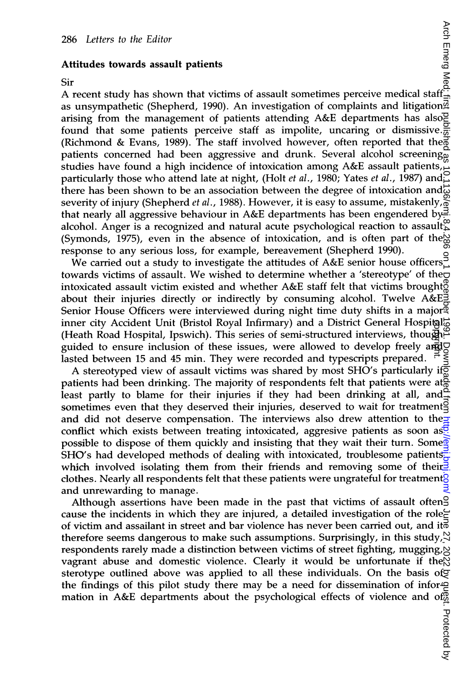## Attitudes towards assault patients

ج<br>A recent study has shown that victims of assault sometimes perceive medical staff as unsympathetic (Shepherd, 1990). An investigation of complaints and litigation arising from the management of patients attending A&E departments has also found that some patients perceive staff as impolite, uncaring or dismissive. $\frac{5}{6}$ (Richmond & Evans, 1989). The staff involved however, often reported that the patients concerned had been aggressive and drunk. Several alcohol screening studies have found <sup>a</sup> high incidence of intoxication among A&E assault patients, particularly those who attend late at night, (Holt *et al.*, 1980; Yates *et al.*, 1987) and there has been shown to be an association between the degree of intoxication and $\vec{\omega}$ severity of injury (Shepherd *et al.*, 1988). However, it is easy to assume, mistakenly,  $\frac{1}{6}$ that nearly all aggressive behaviour in A&E departments has been engendered by alcohol. Anger is a recognized and natural acute psychological reaction to assault (Symonds, 1975), even in the absence of intoxication, and is often part of the response to any serious loss, for example, bereavement (Shepherd 1990). 286Letters to the Editor<br>
Similar Attitudes towards assault patients<br>
Similar Attitudes towards assault patients<br>
The Cource is a strong pathent of the momentum of complement of complement of complement of the<br>single par

sponse to any senous loss, for example, beteavement (shepherd 1990).<br>We carried out a study to investigate the attitudes of  $A\&E$  senior house officers towards victims of assault. We wished to determine whether <sup>a</sup> 'stereotype' of the intoxicated assault victim existed and whether A&E staff felt that victims broughts about their injuries directly or indirectly by consuming alcohol. Twelve A&E Senior House Officers were interviewed during night time duty shifts in a major inner city Accident Unit (Bristol Royal Infirmary) and a District General Hospital<sup>2</sup> (Heath Road Hospital, Ipswich). This series of semi-structured interviews, though guided to ensure inclusion of these issues, were allowed to develop freely and  $\nabla$ lasted between 15 and 45 min. They were recorded and typescripts prepared.

A stereotyped view of assault victims was shared by most SHO's particularly if patients had been drinking. The majority of respondents felt that patients were at $\frac{6}{10}$ least partly to blame for their injuries if they had been drinking at all, and  $\frac{d}{dt}$ sometimes even that they deserved their injuries, deserved to wait for treatments and did not deserve compensation. The interviews also drew attention to the conflict which exists between treating intoxicated, aggresive patients as soon as. possible to dispose of them quickly and insisting that they wait their turn. Some  $\mathbb{R}$ SHO's had developed methods of dealing with intoxicated, troublesome patients. which involved isolating them from their friends and removing some of their. clothes. Nearly all respondents felt that these patients were ungrateful for treatment? and unrewarding to manage.

Although assertions have been made in the past that victims of assault often<sup>9</sup> cause the incidents in which they are injured, a detailed investigation of the role $\epsilon$ of victim and assailant in street and bar violence has never been carried out, and it  $\bar{\phi}$ therefore seems dangerous to make such assumptions. Surprisingly, in this study,  $\forall$ respondents rarely made a distinction between victims of street fighting, mugging,  $\bowtie$ vagrant abuse and domestic violence. Clearly it would be unfortunate if the  $\aleph$ sterotype outlined above was applied to all these individuals. On the basis of the findings of this pilot study there may be a need for dissemination of informed mation in A&E departments about the psychological effects of violence and off